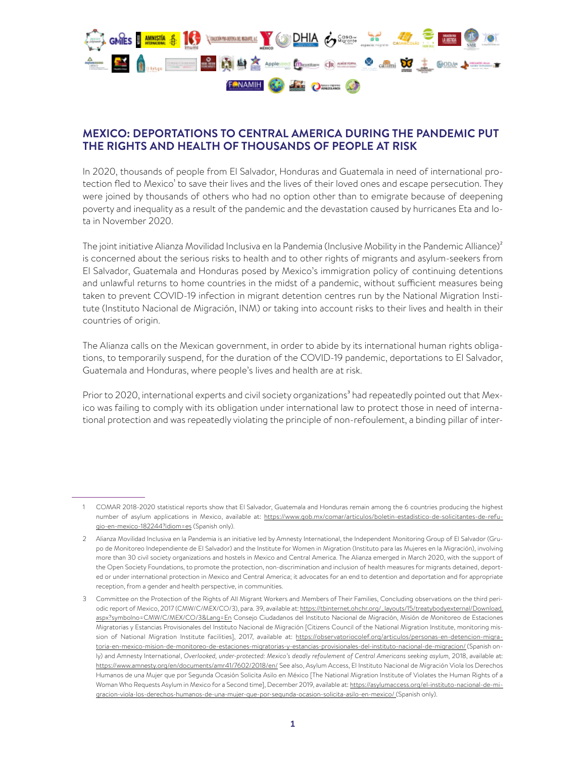

## **MEXICO: DEPORTATIONS TO CENTRAL AMERICA DURING THE PANDEMIC PUT THE RIGHTS AND HEALTH OF THOUSANDS OF PEOPLE AT RISK**

In 2020, thousands of people from El Salvador, Honduras and Guatemala in need of international protection fled to Mexico<sup>1</sup> to save their lives and the lives of their loved ones and escape persecution. They were joined by thousands of others who had no option other than to emigrate because of deepening poverty and inequality as a result of the pandemic and the devastation caused by hurricanes Eta and Iota in November 2020.

The joint initiative Alianza Movilidad Inclusiva en la Pandemia (Inclusive Mobility in the Pandemic Alliance)<sup>2</sup> is concerned about the serious risks to health and to other rights of migrants and asylum-seekers from El Salvador, Guatemala and Honduras posed by Mexico's immigration policy of continuing detentions and unlawful returns to home countries in the midst of a pandemic, without sufficient measures being taken to prevent COVID-19 infection in migrant detention centres run by the National Migration Institute (Instituto Nacional de Migración, INM) or taking into account risks to their lives and health in their countries of origin.

The Alianza calls on the Mexican government, in order to abide by its international human rights obligations, to temporarily suspend, for the duration of the COVID-19 pandemic, deportations to El Salvador, Guatemala and Honduras, where people's lives and health are at risk.

Prior to 2020, international experts and civil society organizations<sup>3</sup> had repeatedly pointed out that Mexico was failing to comply with its obligation under international law to protect those in need of international protection and was repeatedly violating the principle of non-refoulement, a binding pillar of inter-

<sup>1</sup> COMAR 2018-2020 statistical reports show that El Salvador, Guatemala and Honduras remain among the 6 countries producing the highest number of asylum applications in Mexico, available at: [https://www.gob.mx/comar/articulos/boletin-estadistico-de-solicitantes-de-refu](https://www.gob.mx/comar/articulos/boletin-estadistico-de-solicitantes-de-refugio-en-mexico-182244?idiom=es)[gio-en-mexico-182244?idiom=es](https://www.gob.mx/comar/articulos/boletin-estadistico-de-solicitantes-de-refugio-en-mexico-182244?idiom=es) (Spanish only).

<sup>2</sup> Alianza Movilidad Inclusiva en la Pandemia is an initiative led by Amnesty International, the Independent Monitoring Group of El Salvador (Grupo de Monitoreo Independiente de El Salvador) and the Institute for Women in Migration (Instituto para las Mujeres en la Migración), involving more than 30 civil society organizations and hostels in Mexico and Central America. The Alianza emerged in March 2020, with the support of the Open Society Foundations, to promote the protection, non-discrimination and inclusion of health measures for migrants detained, deported or under international protection in Mexico and Central America; it advocates for an end to detention and deportation and for appropriate reception, from a gender and health perspective, in communities.

<sup>3</sup> Committee on the Protection of the Rights of All Migrant Workers and Members of Their Families, Concluding observations on the third periodic report of Mexico, 2017 (CMW/C/MEX/CO/3), para. 39, available at: [https://tbinternet.ohchr.org/\\_layouts/15/treatybodyexternal/Download.](http://docstore.ohchr.org/SelfServices/FilesHandler.ashx?enc=6QkG1d%2FPPRiCAqhKb7yhsq1CB4w%2FT5VRUPDby%2Bk4DDEwhjDkWxMGC5LuNUAog1KNT2CwwU0iOhW%2FRmCI%2F1kslSBezlV9CeUcIsSBValL35CXAtHxPP%2FlffYOo1zQQ9e4) [aspx?symbolno=CMW/C/MEX/CO/3&Lang=En](http://docstore.ohchr.org/SelfServices/FilesHandler.ashx?enc=6QkG1d%2FPPRiCAqhKb7yhsq1CB4w%2FT5VRUPDby%2Bk4DDEwhjDkWxMGC5LuNUAog1KNT2CwwU0iOhW%2FRmCI%2F1kslSBezlV9CeUcIsSBValL35CXAtHxPP%2FlffYOo1zQQ9e4) Consejo Ciudadanos del Instituto Nacional de Migración, Misión de Monitoreo de Estaciones Migratorias y Estancias Provisionales del Instituto Nacional de Migración [Citizens Council of the National Migration Institute, monitoring mission of National Migration Institute facilities], 2017, available at: [https://observatoriocolef.org/articulos/personas-en-detencion-migra](https://observatoriocolef.org/articulos/personas-en-detencion-migratoria-en-mexico-mision-de-monitoreo-de-estaciones-migratorias-y-estancias-provisionales-del-instituto-nacional-de-migracion/)[toria-en-mexico-mision-de-monitoreo-de-estaciones-migratorias-y-estancias-provisionales-del-instituto-nacional-de-migracion/](https://observatoriocolef.org/articulos/personas-en-detencion-migratoria-en-mexico-mision-de-monitoreo-de-estaciones-migratorias-y-estancias-provisionales-del-instituto-nacional-de-migracion/) (Spanish only) and Amnesty International, *Overlooked, under-protected: Mexico's deadly refoulement of Central Americans seeking asylum,* 2018, available at: [https://www.amnesty.org/en/documents/amr41/7602/2018/en/](https://www.amnesty.org/es/documents/amr41/7602/2018/es/) See also, Asylum Access, El Instituto Nacional de Migración Viola los Derechos Humanos de una Mujer que por Segunda Ocasión Solicita Asilo en México [The National Migration Institute of Violates the Human Rights of a Woman Who Requests Asylum in Mexico for a Second time], December 2019, available at: [https://asylumaccess.org/el-instituto-nacional-de-mi](https://asylumaccess.org/el-instituto-nacional-de-migracion-viola-los-derechos-humanos-de-una-mujer-que-por-segunda-ocasion-solicita-asilo-en-mexico/)[gracion-viola-los-derechos-humanos-de-una-mujer-que-por-segunda-ocasion-solicita-asilo-en-mexico/](https://asylumaccess.org/el-instituto-nacional-de-migracion-viola-los-derechos-humanos-de-una-mujer-que-por-segunda-ocasion-solicita-asilo-en-mexico/) (Spanish only).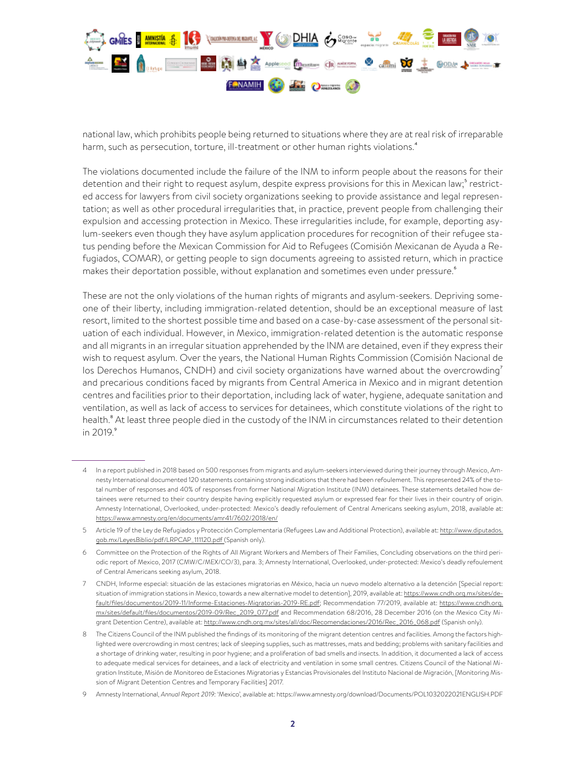

national law, which prohibits people being returned to situations where they are at real risk of irreparable harm, such as persecution, torture, ill-treatment or other human rights violations.<sup>4</sup>

The violations documented include the failure of the INM to inform people about the reasons for their detention and their right to request asylum, despite express provisions for this in Mexican law;<sup>5</sup> restricted access for lawyers from civil society organizations seeking to provide assistance and legal representation; as well as other procedural irregularities that, in practice, prevent people from challenging their expulsion and accessing protection in Mexico. These irregularities include, for example, deporting asylum-seekers even though they have asylum application procedures for recognition of their refugee status pending before the Mexican Commission for Aid to Refugees (Comisión Mexicanan de Ayuda a Refugiados, COMAR), or getting people to sign documents agreeing to assisted return, which in practice makes their deportation possible, without explanation and sometimes even under pressure.<sup>6</sup>

These are not the only violations of the human rights of migrants and asylum-seekers. Depriving someone of their liberty, including immigration-related detention, should be an exceptional measure of last resort, limited to the shortest possible time and based on a case-by-case assessment of the personal situation of each individual. However, in Mexico, immigration-related detention is the automatic response and all migrants in an irregular situation apprehended by the INM are detained, even if they express their wish to request asylum. Over the years, the National Human Rights Commission (Comisión Nacional de los Derechos Humanos, CNDH) and civil society organizations have warned about the overcrowding<sup>7</sup> and precarious conditions faced by migrants from Central America in Mexico and in migrant detention centres and facilities prior to their deportation, including lack of water, hygiene, adequate sanitation and ventilation, as well as lack of access to services for detainees, which constitute violations of the right to health.<sup>8</sup> At least three people died in the custody of the INM in circumstances related to their detention in  $2019.°$ 

<sup>4</sup> In a report published in 2018 based on 500 responses from migrants and asylum-seekers interviewed during their journey through Mexico, Amnesty International documented 120 statements containing strong indications that there had been refoulement. This represented 24% of the total number of responses and 40% of responses from former National Migration Institute (INM) detainees. These statements detailed how detainees were returned to their country despite having explicitly requested asylum or expressed fear for their lives in their country of origin. Amnesty International, Overlooked, under-protected: Mexico's deadly refoulement of Central Americans seeking asylum, 2018, available at: [https://www.amnesty.org/en/documents/amr41/7602/2018/en/](https://www.amnesty.org/es/documents/amr41/7602/2018/es/)

<sup>5</sup> Article 19 of the Ley de Refugiados y Protección Complementaria (Refugees Law and Additional Protection), available at: [http://www.diputados.](http://www.diputados.gob.mx/LeyesBiblio/pdf/LRPCAP_111120.pdf) [gob.mx/LeyesBiblio/pdf/LRPCAP\\_111120.pdf](http://www.diputados.gob.mx/LeyesBiblio/pdf/LRPCAP_111120.pdf) (Spanish only).

<sup>6</sup> Committee on the Protection of the Rights of All Migrant Workers and Members of Their Families, Concluding observations on the third periodic report of Mexico, 2017 (CMW/C/MEX/CO/3), para. 3; Amnesty International, Overlooked, under-protected: Mexico's deadly refoulement of Central Americans seeking asylum, 2018.

<sup>7</sup> CNDH, Informe especial: situación de las estaciones migratorias en México, hacia un nuevo modelo alternativo a la detención [Special report: situation of immigration stations in Mexico, towards a new alternative model to detention], 2019, available at: [https://www.cndh.org.mx/sites/de](https://www.cndh.org.mx/sites/default/files/documentos/2019-11/Informe-Estaciones-Migratorias-2019-RE.pdf)[fault/files/documentos/2019-11/Informe-Estaciones-Migratorias-2019-RE.pdf;](https://www.cndh.org.mx/sites/default/files/documentos/2019-11/Informe-Estaciones-Migratorias-2019-RE.pdf) Recommendation 77/2019, available at: [https://www.cndh.org.](https://www.cndh.org.mx/sites/default/files/documentos/2019-09/Rec_2019_077.pdf) [mx/sites/default/files/documentos/2019-09/Rec\\_2019\\_077.pdf](https://www.cndh.org.mx/sites/default/files/documentos/2019-09/Rec_2019_077.pdf) and Recommendation 68/2016, 28 December 2016 (on the Mexico City Migrant Detention Centre), available at: [http://www.cndh.org.mx/sites/all/doc/Recomendaciones/2016/Rec\\_2016\\_068.pdf](http://www.cndh.org.mx/sites/all/doc/Recomendaciones/2016/Rec_2016_068.pdf) (Spanish only).

<sup>8</sup> The Citizens Council of the INM published the findings of its monitoring of the migrant detention centres and facilities. Among the factors highlighted were overcrowding in most centres; lack of sleeping supplies, such as mattresses, mats and bedding; problems with sanitary facilities and a shortage of drinking water, resulting in poor hygiene; and a proliferation of bad smells and insects. In addition, it documented a lack of access to adequate medical services for detainees, and a lack of electricity and ventilation in some small centres. Citizens Council of the National Migration Institute, Misión de Monitoreo de Estaciones Migratorias y Estancias Provisionales del Instituto Nacional de Migración, [Monitoring Mission of Migrant Detention Centres and Temporary Facilities] 2017.

<sup>9</sup> Amnesty International, *Annual Report 2019:* 'Mexico', available at: https://www.amnesty.org/download/Documents/POL1032022021ENGLISH.PDF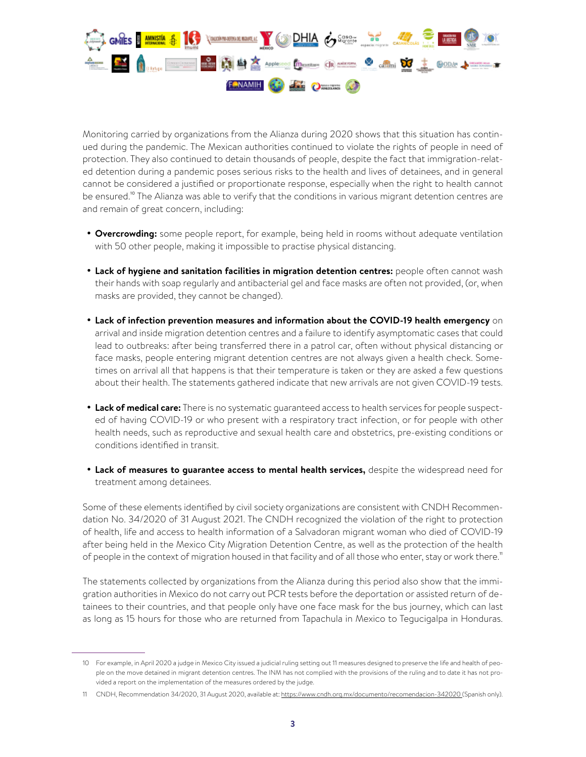

Monitoring carried by organizations from the Alianza during 2020 shows that this situation has continued during the pandemic. The Mexican authorities continued to violate the rights of people in need of protection. They also continued to detain thousands of people, despite the fact that immigration-related detention during a pandemic poses serious risks to the health and lives of detainees, and in general cannot be considered a justified or proportionate response, especially when the right to health cannot be ensured.<sup>10</sup> The Alianza was able to verify that the conditions in various migrant detention centres are and remain of great concern, including:

- **• Overcrowding:** some people report, for example, being held in rooms without adequate ventilation with 50 other people, making it impossible to practise physical distancing.
- **• Lack of hygiene and sanitation facilities in migration detention centres:** people often cannot wash their hands with soap regularly and antibacterial gel and face masks are often not provided, (or, when masks are provided, they cannot be changed).
- **• Lack of infection prevention measures and information about the COVID-19 health emergency** on arrival and inside migration detention centres and a failure to identify asymptomatic cases that could lead to outbreaks: after being transferred there in a patrol car, often without physical distancing or face masks, people entering migrant detention centres are not always given a health check. Sometimes on arrival all that happens is that their temperature is taken or they are asked a few questions about their health. The statements gathered indicate that new arrivals are not given COVID-19 tests.
- **• Lack of medical care:** There is no systematic guaranteed access to health services for people suspected of having COVID-19 or who present with a respiratory tract infection, or for people with other health needs, such as reproductive and sexual health care and obstetrics, pre-existing conditions or conditions identified in transit.
- **• Lack of measures to guarantee access to mental health services,** despite the widespread need for treatment among detainees.

Some of these elements identified by civil society organizations are consistent with CNDH Recommendation No. 34/2020 of 31 August 2021. The CNDH recognized the violation of the right to protection of health, life and access to health information of a Salvadoran migrant woman who died of COVID-19 after being held in the Mexico City Migration Detention Centre, as well as the protection of the health of people in the context of migration housed in that facility and of all those who enter, stay or work there."

The statements collected by organizations from the Alianza during this period also show that the immigration authorities in Mexico do not carry out PCR tests before the deportation or assisted return of detainees to their countries, and that people only have one face mask for the bus journey, which can last as long as 15 hours for those who are returned from Tapachula in Mexico to Tegucigalpa in Honduras.

<sup>10</sup> For example, in April 2020 a judge in Mexico City issued a judicial ruling setting out 11 measures designed to preserve the life and health of people on the move detained in migrant detention centres. The INM has not complied with the provisions of the ruling and to date it has not provided a report on the implementation of the measures ordered by the judge.

<sup>11</sup> CNDH, Recommendation 34/2020, 31 August 2020, available at:<https://www.cndh.org.mx/documento/recomendacion-342020>(Spanish only).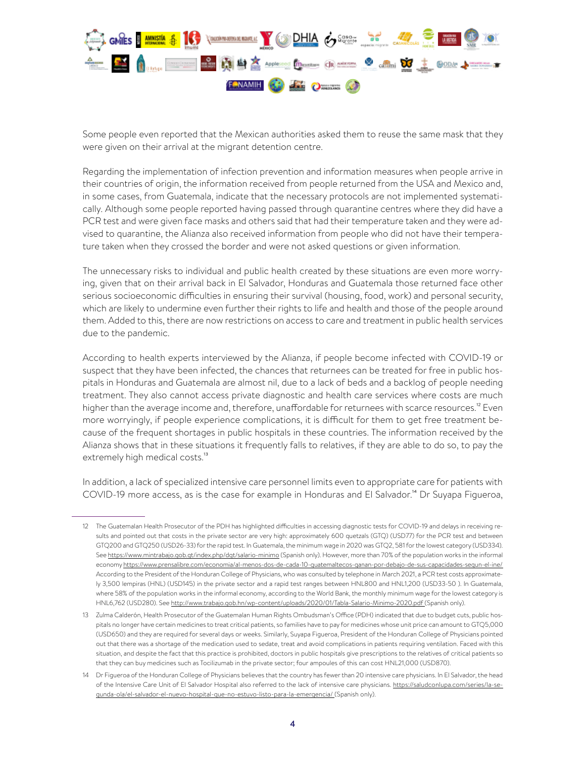

Some people even reported that the Mexican authorities asked them to reuse the same mask that they were given on their arrival at the migrant detention centre.

Regarding the implementation of infection prevention and information measures when people arrive in their countries of origin, the information received from people returned from the USA and Mexico and, in some cases, from Guatemala, indicate that the necessary protocols are not implemented systematically. Although some people reported having passed through quarantine centres where they did have a PCR test and were given face masks and others said that had their temperature taken and they were advised to quarantine, the Alianza also received information from people who did not have their temperature taken when they crossed the border and were not asked questions or given information.

The unnecessary risks to individual and public health created by these situations are even more worrying, given that on their arrival back in El Salvador, Honduras and Guatemala those returned face other serious socioeconomic difficulties in ensuring their survival (housing, food, work) and personal security, which are likely to undermine even further their rights to life and health and those of the people around them. Added to this, there are now restrictions on access to care and treatment in public health services due to the pandemic.

According to health experts interviewed by the Alianza, if people become infected with COVID-19 or suspect that they have been infected, the chances that returnees can be treated for free in public hospitals in Honduras and Guatemala are almost nil, due to a lack of beds and a backlog of people needing treatment. They also cannot access private diagnostic and health care services where costs are much higher than the average income and, therefore, unaffordable for returnees with scarce resources.<sup>12</sup> Even more worryingly, if people experience complications, it is difficult for them to get free treatment because of the frequent shortages in public hospitals in these countries. The information received by the Alianza shows that in these situations it frequently falls to relatives, if they are able to do so, to pay the extremely high medical costs.<sup>13</sup>

In addition, a lack of specialized intensive care personnel limits even to appropriate care for patients with COVID-19 more access, as is the case for example in Honduras and El Salvador.<sup>14</sup> Dr Suyapa Figueroa,

<sup>12</sup> The Guatemalan Health Prosecutor of the PDH has highlighted difficulties in accessing diagnostic tests for COVID-19 and delays in receiving results and pointed out that costs in the private sector are very high: approximately 600 quetzals (GTQ) (USD77) for the PCR test and between GTQ200 and GTQ250 (USD26-33) for the rapid test. In Guatemala, the minimum wage in 2020 was GTQ2, 581 for the lowest category (USD334). See<https://www.mintrabajo.gob.gt/index.php/dgt/salario-minimo>(Spanish only). However, more than 70% of the population works in the informal economy<https://www.prensalibre.com/economia/al-menos-dos-de-cada-10-guatemaltecos-ganan-por-debajo-de-sus-capacidades-segun-el-ine/> According to the President of the Honduran College of Physicians, who was consulted by telephone in March 2021, a PCR test costs approximately 3,500 lempiras (HNL) (USD145) in the private sector and a rapid test ranges between HNL800 and HNL1,200 (USD33-50 ). In Guatemala, where 58% of the population works in the informal economy, according to the World Bank, the monthly minimum wage for the lowest category is HNL6,762 (USD280). See <http://www.trabajo.gob.hn/wp-content/uploads/2020/01/Tabla-Salario-Minimo-2020.pdf> (Spanish only).

<sup>13</sup> Zulma Calderón, Health Prosecutor of the Guatemalan Human Rights Ombudsman's Office (PDH) indicated that due to budget cuts, public hospitals no longer have certain medicines to treat critical patients, so families have to pay for medicines whose unit price can amount to GTQ5,000 (USD650) and they are required for several days or weeks. Similarly, Suyapa Figueroa, President of the Honduran College of Physicians pointed out that there was a shortage of the medication used to sedate, treat and avoid complications in patients requiring ventilation. Faced with this situation, and despite the fact that this practice is prohibited, doctors in public hospitals give prescriptions to the relatives of critical patients so that they can buy medicines such as Tocilizumab in the private sector; four ampoules of this can cost HNL21,000 (USD870).

<sup>14</sup> Dr Figueroa of the Honduran College of Physicians believes that the country has fewer than 20 intensive care physicians. In El Salvador, the head of the Intensive Care Unit of El Salvador Hospital also referred to the lack of intensive care physicians. [https://saludconlupa.com/series/la-se](https://saludconlupa.com/series/la-segunda-ola/el-salvador-el-nuevo-hospital-que-no-estuvo-listo-para-la-emergencia/)[gunda-ola/el-salvador-el-nuevo-hospital-que-no-estuvo-listo-para-la-emergencia/](https://saludconlupa.com/series/la-segunda-ola/el-salvador-el-nuevo-hospital-que-no-estuvo-listo-para-la-emergencia/) (Spanish only).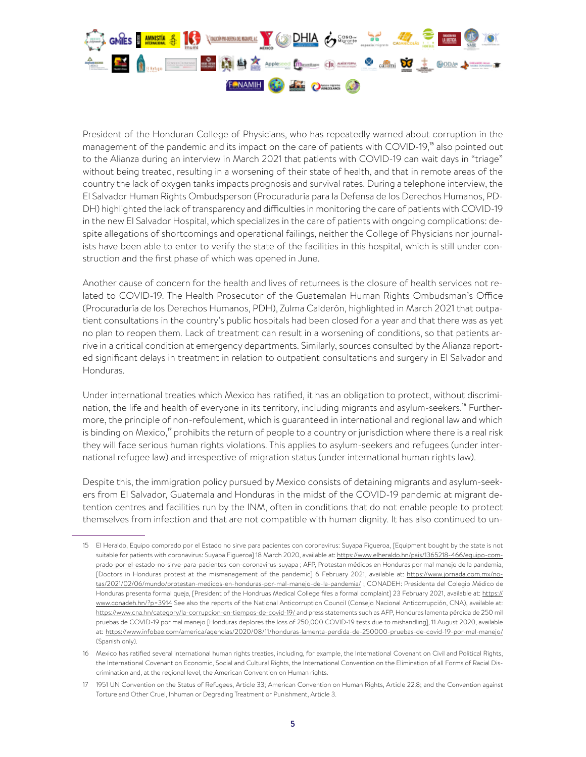

President of the Honduran College of Physicians, who has repeatedly warned about corruption in the management of the pandemic and its impact on the care of patients with COVID-19,<sup>15</sup> also pointed out to the Alianza during an interview in March 2021 that patients with COVID-19 can wait days in "triage" without being treated, resulting in a worsening of their state of health, and that in remote areas of the country the lack of oxygen tanks impacts prognosis and survival rates. During a telephone interview, the El Salvador Human Rights Ombudsperson (Procuraduría para la Defensa de los Derechos Humanos, PD-DH) highlighted the lack of transparency and difficulties in monitoring the care of patients with COVID-19 in the new El Salvador Hospital, which specializes in the care of patients with ongoing complications: despite allegations of shortcomings and operational failings, neither the College of Physicians nor journalists have been able to enter to verify the state of the facilities in this hospital, which is still under construction and the first phase of which was opened in June.

Another cause of concern for the health and lives of returnees is the closure of health services not related to COVID-19. The Health Prosecutor of the Guatemalan Human Rights Ombudsman's Office (Procuraduría de los Derechos Humanos, PDH), Zulma Calderón, highlighted in March 2021 that outpatient consultations in the country's public hospitals had been closed for a year and that there was as yet no plan to reopen them. Lack of treatment can result in a worsening of conditions, so that patients arrive in a critical condition at emergency departments. Similarly, sources consulted by the Alianza reported significant delays in treatment in relation to outpatient consultations and surgery in El Salvador and Honduras.

Under international treaties which Mexico has ratified, it has an obligation to protect, without discrimination, the life and health of everyone in its territory, including migrants and asylum-seekers.<sup>16</sup> Furthermore, the principle of non-refoulement, which is guaranteed in international and regional law and which is binding on Mexico, $\overline{a}$  prohibits the return of people to a country or jurisdiction where there is a real risk they will face serious human rights violations. This applies to asylum-seekers and refugees (under international refugee law) and irrespective of migration status (under international human rights law).

Despite this, the immigration policy pursued by Mexico consists of detaining migrants and asylum-seekers from El Salvador, Guatemala and Honduras in the midst of the COVID-19 pandemic at migrant detention centres and facilities run by the INM, often in conditions that do not enable people to protect themselves from infection and that are not compatible with human dignity. It has also continued to un-

<sup>15</sup> El Heraldo, Equipo comprado por el Estado no sirve para pacientes con coronavirus: Suyapa Figueroa, [Equipment bought by the state is not suitable for patients with coronavirus: Suyapa Figueroa] 18 March 2020, available at: https://www.elheraldo.hn/pais/1365218-466/equipo-comprado-por-el-estado-no-sirve-para-pacientes-con-coronavirus-suyapa ; AFP, Protestan médicos en Honduras por mal manejo de la pandemia, [Doctors in Honduras protest at the mismanagement of the pandemic] 6 February 2021, available at: [https://www.jornada.com.mx/no](https://www.jornada.com.mx/notas/2021/02/06/mundo/protestan-medicos-en-honduras-por-mal-manejo-de-la-pandemia/)[tas/2021/02/06/mundo/protestan-medicos-en-honduras-por-mal-manejo-de-la-pandemia/](https://www.jornada.com.mx/notas/2021/02/06/mundo/protestan-medicos-en-honduras-por-mal-manejo-de-la-pandemia/) ; CONADEH: Presidenta del Colegio Médico de Honduras presenta formal queja, [President of the Hondruas Medical College files a formal complaint] 23 February 2021, available at: [https://](https://www.conadeh.hn/?p=3914) [www.conadeh.hn/?p=3914](https://www.conadeh.hn/?p=3914) See also the reports of the National Anticorruption Council (Consejo Nacional Anticorrupción, CNA), available at: <https://www.cna.hn/category/la-corrupcion-en-tiempos-de-covid-19/>and press statements such as AFP, Honduras lamenta pérdida de 250 mil pruebas de COVID-19 por mal manejo [Honduras deplores the loss of 250,000 COVID-19 tests due to mishandling], 11 August 2020, available at: <https://www.infobae.com/america/agencias/2020/08/11/honduras-lamenta-perdida-de-250000-pruebas-de-covid-19-por-mal-manejo/> (Spanish only).

<sup>16</sup> Mexico has ratified several international human rights treaties, including, for example, the International Covenant on Civil and Political Rights, the International Covenant on Economic, Social and Cultural Rights, the International Convention on the Elimination of all Forms of Racial Discrimination and, at the regional level, the American Convention on Human rights.

<sup>17</sup> 1951 UN Convention on the Status of Refugees, Article 33; American Convention on Human Rights, Article 22.8; and the Convention against Torture and Other Cruel, Inhuman or Degrading Treatment or Punishment, Article 3.